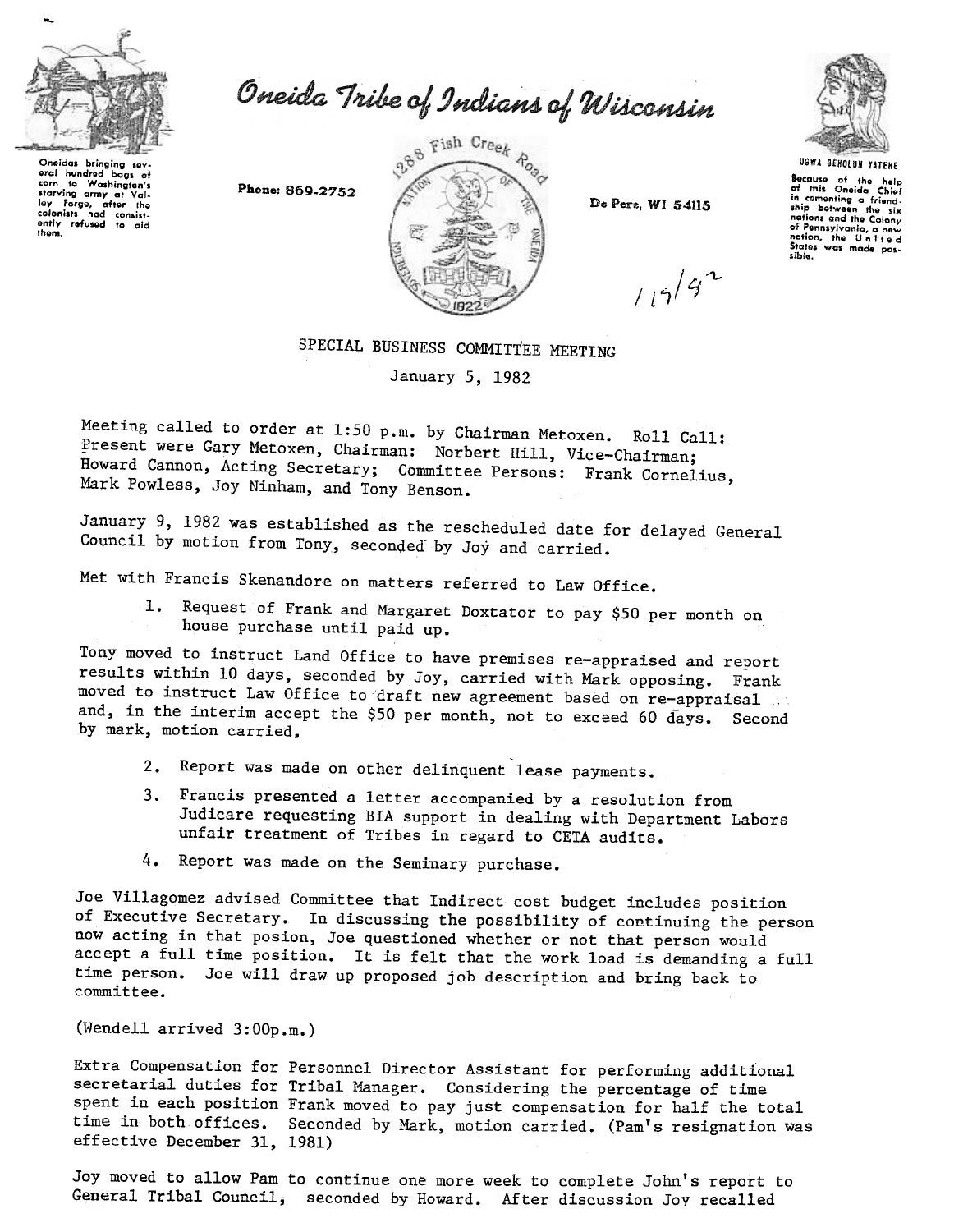

oral hundrod bags of carn to Washington's Lorre to trasmington's<br>Starving army at Val-Iey Forge, after the<br>colonists had consist-<br>ently refused to aid

thom.

Oneida Tribe of Indians of Wisconsin

Phone: 869-2752



De Pere, WI 54115

 $119/92$ 



UGWA nEHOlUH YATEHE

Because of the help<br>of this Oneida Chiet in comenting a friend.<br>ship botween the six nations and tho Colony of Pennsylvania, a new<br>nation, the Unitec<br>States was made pos-.ible.

## SPECIAL BUSINESS COMMITTEE MEETING

January 5, 1982

Meeting called to order at 1:50 p.m. by Chairman Metoxen. Roll Call: Present were Gary Metoxen, Chairman: Norbert Hill, Vice-Chairman; Howard Cannon, Acting Secretary; Committee Persons: Frank Cornelius, Mark Powless, Joy Ninham, and Tony Benson.

January 9,1982 was established as the rescheduled date for delayed General Council by motion from Tony, seconded- by Joy and carried.

Met with Francis Skenandore on matters referred to Law Office.

1. Request of Frank and Margaret Doxtator to pay \$50 per month on house purchase until paid up.

Tony moved to instruct Land Office to have premises re-appraised and report results within 10 days, seconded by Joy, carried with Mark opposing. Frank moved to instruct Law Office to draft new agreement based on re-appraisal and, in the interim accept the \$50 per month, not to exceed 60 days. Second by mark, motion carried.

- 2. Report was made on other delinquent lease payment
- Francis presented a letter accompanied by a resolution from Judicare requesting BIA support in dealing with Department Labors unfair treatment of Tribes in regard to CETA audits.
- 4. Report was made on the Seminary purchas

Joe Villagomez advised Committee that Indirect cost budget includes position of Executive Secretary. In discussing the possibility of continuing the person now acting in that posion, Joe questioned whether or not that person would accept a full time position. It is felt that the work load is demanding a full time person. Joe will draw up proposed job description and bring back to committee.

(Wendell arrived  $3:00p.m.$ )

Extra Compensation for Personnel Director Assistant for performing additional secretarial duties for Tribal Manager. Considering the percentage of time spent in each position Frank moved to pay just compensation for half the total time in both offices. Seconded by Mark, motion carried. (Pam's resignation was effective December 31,1981)

Joy moved to allow Pam to continue one more week to complete John's report to General Tribal Council, seconded by Howard. After discussion Joy recalled